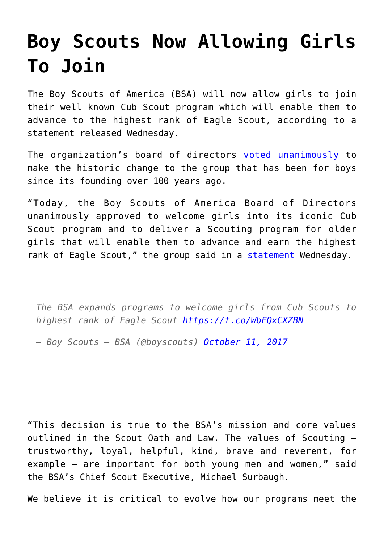## **[Boy Scouts Now Allowing Girls](https://intellectualtakeout.org/2017/10/boy-scouts-now-allowing-girls-to-join/) [To Join](https://intellectualtakeout.org/2017/10/boy-scouts-now-allowing-girls-to-join/)**

The Boy Scouts of America (BSA) will now allow girls to join their well known Cub Scout program which will enable them to advance to the highest rank of Eagle Scout, according to a statement released Wednesday.

The organization's board of directors [voted unanimously](https://www.nbcnews.com/news/us-news/boy-scouts-will-admit-girls-allow-them-earn-eagle-scout-n809836) to make the historic change to the group that has been for boys since its founding over 100 years ago.

"Today, the Boy Scouts of America Board of Directors unanimously approved to welcome girls into its iconic Cub Scout program and to deliver a Scouting program for older girls that will enable them to advance and earn the highest rank of Eagle Scout," the group said in a [statement](http://www.scoutingnewsroom.org/press-releases/bsa-expands-programs-welcome-girls-cub-scouts-highest-rank-eagle-scout/) Wednesday.

*The BSA expands programs to welcome girls from Cub Scouts to highest rank of Eagle Scout <https://t.co/WbFQxCXZBN>*

*— Boy Scouts – BSA (@boyscouts) [October 11, 2017](https://twitter.com/boyscouts/status/918159703397556224?ref_src=twsrc%5Etfw)*

"This decision is true to the BSA's mission and core values outlined in the Scout Oath and Law. The values of Scouting – trustworthy, loyal, helpful, kind, brave and reverent, for example – are important for both young men and women," said the BSA's Chief Scout Executive, Michael Surbaugh.

We believe it is critical to evolve how our programs meet the